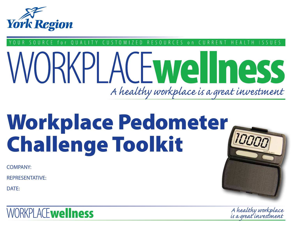

#### YOUR SOURCE for QUALITY CUSTOMIZED RESOURCES CURRENT HEALTH  $0<sub>n</sub>$

# WORKPLACEwellness A healthy workplace is a great investment

# Workplace Pedometer Challenge Toolkit

COMPANY:

REPRESENTATIVE:

DATE:

WORKPLACEwellness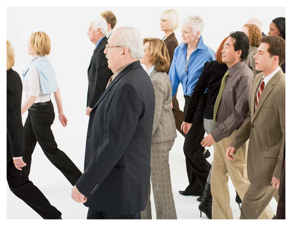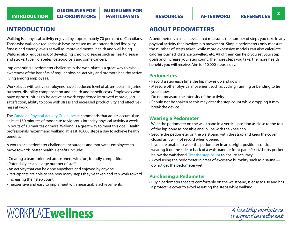### <span id="page-2-0"></span>**INTRODUCTION**

Walking is a physical activity enjoyed by approximately 70 per-cent of Canadians. Those who walk on a regular basis have increased muscle strength and flexibility, fitness and energy levels as well as improved mental health and well being. Walking also reduces risk of developing chronic diseases such as heart disease and stroke, type II diabetes, osteoporosis and some cancers.

Implementing a pedometer challenge in the workplace is a great way to raise awareness of the benefits of regular physical activity and promote healthy active living among employees.

Workplaces with active employees have a reduced level of absenteeism, injuries, turnover, disability compensation and health and benefit costs. Employees who have opportunities to be active at work experience improved morale, job satisfaction, ability to cope with stress and increased productivity and effectiveness at work.

The [Canadian Physical Activity Guidelines](http://www.csep.ca/english/view.asp?x=804) recommends that adults accumulate at least 150 minutes of moderate to vigorous intensity physical activity a week, in bouts of 10 minutes or more. Walking is a great way to meet this goal! Health professionals recommend walking at least 10,000 steps a day to achieve health benefits.

A workplace pedometer challenge encourages and motivates employees to move towards better health. Benefits include:

- Creating a team-oriented atmosphere with fun, friendly competition
- Potentially reach a large number of staff
- An activity that can be done anywhere and enjoyed by anyone
- Participants are able to see how many steps they've taken and can work toward increasing their step count
- Inexpensive and easy to implement with measurable achievements

## **ABOUT PEDOMETERS**

A pedometer is a small device that measures the number of steps you take in any physical activity that involves hip movement. Simple pedometers only measure the number of steps taken while more expensive models can also calculate calories burned, distance travelled, etc. All of them can help you set your step goals and increase your step count. The more steps you take, the more health benefits you will receive. Aim for 10,000 steps a day.

### **Pedometers**

- Record a step each time the hip moves up and down
- Measure other physical movement such as cycling, running or bending to tie your shoes
- Do not measure the intensity of the activity
- Should not be shaken as this may alter the step count while dropping it may break the device

### **Wearing a Pedometer**

- Wear the pedometer on the waistband in a vertical position as close to the top of the hip bone as possible and in line with the knee cap
- Secure the pedometer on the waistband with the strap and keep the cover closed as it will not record when opened
- If you are unable to wear the pedometer in an upright position, consider wearing it on the side or back of a waistband or front pants/skirt/shorts pocket below the waistband. [Test the step count](http://www.mhp.gov.on.ca/en/active-living/pedometer/using-your-pedometer.asp) to ensure accuracy
- Avoid using the pedometer in areas of excessive humidity such as a sauna do not get the pedometer wet

### **Purchasing a Pedometer**

• Buy a pedometer that sits comfortable on the waistband, is easy to use and has a protective cover to avoid resetting the steps while walking



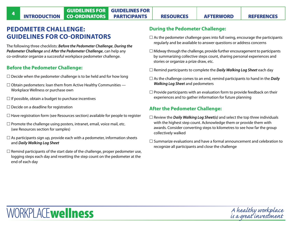## <span id="page-3-0"></span>**PEDOMETER CHALLENGE: GUIDELINES FOR CO-ORDINATORS**

The following three checklists: *Before the Pedometer Challenge*, *During the Pedometer Challenge* and *After the Pedometer Challenge*, can help any co-ordinator organize a successful workplace pedometer challenge.

### **Before the Pedometer Challenge:**

- $\square$  Decide when the pedometer challenge is to be held and for how long
- $\square$  Obtain pedometers: loan them from Active Healthy Communities  $-$ Workplace Wellness or purchase own
- $\Box$  If possible, obtain a budget to purchase incentives
- $\square$  Decide on a deadline for registration
- $\Box$  Have registration form (see Resources section) available for people to register
- $\Box$  Promote the challenge using posters, intranet, email, voice mail, etc. (see Resources section for samples)
- $\Box$  As participants sign up, provide each with a pedometer, information sheets and *Daily Walking Log Sheet*
- $\Box$  Remind participants of the start date of the challenge, proper pedometer use, logging steps each day and resetting the step count on the pedometer at the end of each day

### **During the Pedometer Challenge:**

- $\Box$  As the pedometer challenge goes into full swing, encourage the participants regularly and be available to answer questions or address concerns
- $\Box$  Midway through the challenge, provide further encouragement to participants by summarizing collective steps count, sharing personal experiences and stories or organize a prize draw, etc.
- Remind participants to complete the *Daily Walking Log Sheet* each day
- As the challenge comes to an end, remind participants to hand in the *Daily Walking Log Sheet* and pedometers
- $\square$  Provide participants with an evaluation form to provide feedback on their experiences and to gather information for future planning

### **After the Pedometer Challenge:**

- Review the *Daily Walking Log Sheet(s)* and select the top three individuals with the highest step count. Acknowledge them or provide them with awards. Consider converting steps to kilometres to see how far the group collectively walked
- $\square$  Summarize evaluations and have a formal announcement and celebration to recognize all participants and close the challenge

# WORKPLACEwellness

A healthy workp<br>is a great investu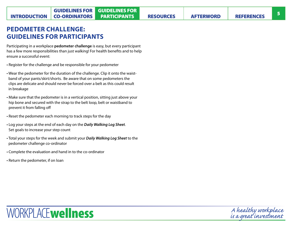## <span id="page-4-0"></span>**PEDOMETER CHALLENGE: GUIDELINES FOR PARTICIPANTS**

Participating in a workplace **pedometer challenge** is easy, but every participant has a few more responsibilities than just walking! For health benefits and to help ensure a successful event:

- Register for the challenge and be responsible for your pedometer
- Wear the pedometer for the duration of the challenge. Clip it onto the waistband of your pants/skirt/shorts. Be aware that on some pedometers the clips are delicate and should never be forced over a belt as this could result in breakage
- Make sure that the pedometer is in a vertical position, sitting just above your hip bone and secured with the strap to the belt loop, belt or waistband to prevent it from falling off
- Reset the pedometer each morning to track steps for the day
- Log your steps at the end of each day on the *Daily Walking Log Sheet*. Set goals to increase your step count
- Total your steps for the week and submit your *Daily Walking Log Sheet* to the pedometer challenge co-ordinator
- Complete the evaluation and hand in to the co-ordinator
- Return the pedometer, if on loan

# WORKPLACEwellness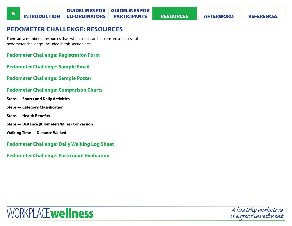### <span id="page-5-0"></span>**PEDOMETER CHALLENGE: RESOURCES**

There are a number of resources that, when used, can help ensure a successful pedometer challenge. Included in this section are:

**[Pedometer Challenge: Registration Form](#page-6-0)**

**[Pedometer Challenge: Sample Email](#page-7-0)**

**[Pedometer Challenge: Sample Poster](#page-8-0)**

#### **[Pedometer Challenge: Comparison Charts](#page-9-0)**

- **[Steps Sports and Daily Activities](#page-9-0)**
- **[Steps Category Classification](#page-10-0)**
- **[Steps Health Benefits](#page-10-0)**
- **[Steps Distance \(Kilometers/Miles\) Conversion](#page-11-0)**
- **[Walking Time Distance Walked](#page-11-0)**

**[Pedometer Challenge: Daily Walking Log Sheet](#page-12-0)**

**[Pedometer Challenge: Participant Evaluation](#page-13-0)**

# WORKPLACEwellness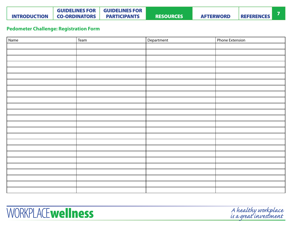<span id="page-6-0"></span>

|                     | <b>GUIDELINES FOR</b> | <b>GUIDELINES FOR</b> |                  |                  |                   |  |
|---------------------|-----------------------|-----------------------|------------------|------------------|-------------------|--|
| <b>INTRODUCTION</b> | <b>CO-ORDINATORS</b>  | <b>PARTICIPANTS</b>   | <b>RESOURCES</b> | <b>AFTERWORD</b> | <b>REFERENCES</b> |  |

### **Pedometer Challenge: Registration Form**

| Name | Team | Department | Phone Extension |
|------|------|------------|-----------------|
|      |      |            |                 |
|      |      |            |                 |
|      |      |            |                 |
|      |      |            |                 |
|      |      |            |                 |
|      |      |            |                 |
|      |      |            |                 |
|      |      |            |                 |
|      |      |            |                 |
|      |      |            |                 |
|      |      |            |                 |
|      |      |            |                 |
|      |      |            |                 |
|      |      |            |                 |
|      |      |            |                 |
|      |      |            |                 |
|      |      |            |                 |
|      |      |            |                 |
|      |      |            |                 |
|      |      |            |                 |
|      |      |            |                 |
|      |      |            |                 |
|      |      |            |                 |
|      |      |            |                 |
|      |      |            |                 |

# WORKPLACEwellness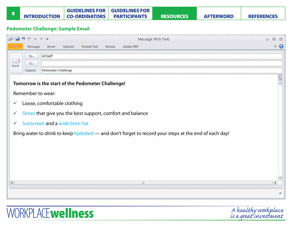### <span id="page-7-0"></span>**Pedometer Challenge: Sample Email**

| $\mathbf{P}$ $\mathbf{P}$ | $\blacksquare$<br>$\sim$      | $\triangledown$ $\triangledown$<br>Message (Rich Text)                                                | $\boxed{=}$<br>- 23<br>$\Box$ |
|---------------------------|-------------------------------|-------------------------------------------------------------------------------------------------------|-------------------------------|
| File                      | Message                       | Options<br>Format Text<br>Insert<br>Review<br>Adobe PDF                                               | $\circ$ 0                     |
|                           | To                            | All Staff                                                                                             |                               |
| $\frac{1}{2}$<br>Send     | cc                            |                                                                                                       |                               |
|                           | Subject:                      | Pedometer Challenge                                                                                   |                               |
|                           |                               | Tomorrow is the start of the Pedometer Challenge!                                                     | $\frac{\overline{z}}{z}$      |
|                           |                               | Remember to wear:                                                                                     |                               |
| $\checkmark$              |                               | Loose, comfortable clothing                                                                           |                               |
| $\checkmark$              |                               | Shoes that give you the best support, comfort and balance                                             |                               |
| $\checkmark$              | Sunscreen and a wide brim hat |                                                                                                       |                               |
|                           |                               | Bring water to drink to keep hydrated — and don't forget to record your steps at the end of each day! |                               |
|                           |                               |                                                                                                       |                               |
|                           |                               |                                                                                                       |                               |
|                           |                               |                                                                                                       |                               |
|                           |                               |                                                                                                       |                               |
| $\blacktriangleleft$      |                               | <b>JIII</b>                                                                                           | $\blacktriangleright$         |
|                           |                               |                                                                                                       | ۸                             |

# WORKPLACEwellness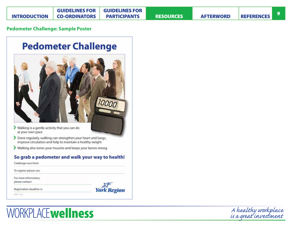<span id="page-8-0"></span>

|                     | <b>GUIDELINES FOR</b> | <b>GUIDELINES FOR</b> |                  |                  |                   |  |
|---------------------|-----------------------|-----------------------|------------------|------------------|-------------------|--|
| <b>INTRODUCTION</b> | <b>CO-ORDINATORS</b>  | <b>PARTICIPANTS</b>   | <b>RESOURCES</b> | <b>AFTERWORD</b> | <b>REFERENCES</b> |  |

#### **Pedometer Challenge: Sample Poster**

# **Pedometer Challenge**



- $\triangleright$  Walking is a gentle activity that you can do at your own pace
- > Done regularly, walking can strengthen your heart and lungs, improve circulation and help to maintain a healthy weight
- > Walking also tones your muscles and keeps your bones strong

### So grab a pedometer and walk your way to health!

| Challenge runs from:                     |                    |
|------------------------------------------|--------------------|
| To register please see:                  |                    |
| For more information,<br>please contact: |                    |
| Registration deadline is:                | <b>York Region</b> |
| <b>GABETT JUTTA</b>                      |                    |

# **WORKPLACEwellness**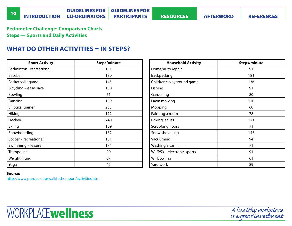<span id="page-9-0"></span>**Pedometer Challenge: Comparison Charts Steps — Sports and Daily Activities**

### **WHAT DO OTHER ACTIVITIES = IN STEPS?**

| <b>Sport Activity</b>     | <b>Steps/minute</b> |
|---------------------------|---------------------|
| Badminton - recreational  | 131                 |
| Baseball                  | 130                 |
| Basketball - game         | 145                 |
| Bicycling - easy pace     | 130                 |
| Bowling                   | 71                  |
| Dancing                   | 109                 |
| <b>Elliptical trainer</b> | 203                 |
| Hiking                    | 172                 |
| Hockey                    | 240                 |
| Skiing                    | 109                 |
| Snowboarding              | 182                 |
| Soccer - recreational     | 181                 |
| Swimming - leisure        | 174                 |
| Trampoline                | 90                  |
| Weight lifting            | 67                  |
| Yoga                      | 45                  |

| <b>Household Activity</b>   | <b>Steps/minute</b> |
|-----------------------------|---------------------|
| Home/Auto repair            | 91                  |
| Backpacking                 | 181                 |
| Children's playground game  | 136                 |
| Fishing                     | 91                  |
| Gardening                   | 80                  |
| Lawn mowing                 | 120                 |
| Mopping                     | 60                  |
| Painting a room             | 78                  |
| Raking leaves               | 121                 |
| Scrubbing floors            | 71                  |
| Snow shovelling             | 145                 |
| Vacuuming                   | 94                  |
| Washing a car               | 71                  |
| Wii/PS3 - electronic sports | 91                  |
| Wii Bowling                 | 61                  |
| Yard work                   | 89                  |

#### **Source:**

<http://www.purdue.edu/walktothemoon/activities.html>



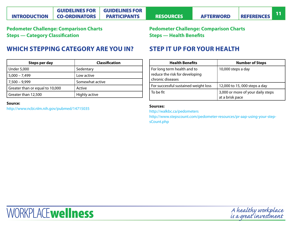### <span id="page-10-0"></span>**Pedometer Challenge: Comparison Charts Steps — Category Classification**

### **WHICH STEPPING CATEGORY ARE YOU IN?**

| Steps per day                   | <b>Classification</b> |
|---------------------------------|-----------------------|
| <b>Under 5,000</b>              | Sedentary             |
| $5,000 - 7,499$                 | Low active            |
| $7,500 - 9,999$                 | Somewhat active       |
| Greater than or equal to 10,000 | Active                |
| Greater than 12,500             | Highly active         |

#### **Source:**

<http://www.ncbi.nlm.nih.gov/pubmed/14715035>

**Pedometer Challenge: Comparison Charts Steps — Health Benefits**

### **STEP IT UP FOR YOUR HEALTH**

| <b>Health Benefits</b>                                                            | <b>Number of Steps</b>                               |
|-----------------------------------------------------------------------------------|------------------------------------------------------|
| For long term health and to<br>reduce the risk for developing<br>chronic diseases | 10,000 steps a day                                   |
| For successful sustained weight loss                                              | 12,000 to 15,000 steps a day                         |
| To be fit                                                                         | 3,000 or more of your daily steps<br>at a brisk pace |

#### **Sources:**

<http://walkbc.ca/pedometers> [http://www.stepscount.com/pedometer-resources/pr-aap-using-your-step](http://www.stepscount.com/pedometer-resources/pr-aap-using-your-stepsCount.php)[sCount.php](http://www.stepscount.com/pedometer-resources/pr-aap-using-your-stepsCount.php)

**WORKPLACEwellness**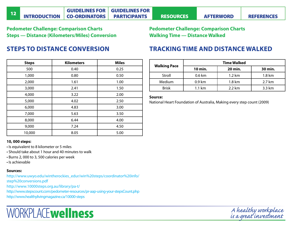<span id="page-11-0"></span>**Pedometer Challenge: Comparison Charts Steps — Distance (Kilometers/Miles) Conversion**

### **STEPS TO DISTANCE CONVERSION**

| <b>Steps</b> | <b>Kilometers</b> | <b>Miles</b> |
|--------------|-------------------|--------------|
| 500          | 0.40              | 0.25         |
| 1,000        | 0.80              | 0.50         |
| 2,000        | 1.61              | 1.00         |
| 3,000        | 2.41              | 1.50         |
| 4,000        | 3.22              | 2.00         |
| 5,000        | 4.02              | 2.50         |
| 6,000        | 4.83              | 3.00         |
| 7,000        | 5.63              | 3.50         |
| 8,000        | 6.44              | 4.00         |
| 9,000        | 7.24              | 4.50         |
| 10,000       | 8.05              | 5.00         |

### **Pedometer Challenge: Comparison Charts Walking Time — Distance Walked**

### **TRACKING TIME AND DISTANCE WALKED**

|                     | <b>Time Walked</b> |                  |         |  |
|---------------------|--------------------|------------------|---------|--|
| <b>Walking Pace</b> | 10 min.            | 20 min.          | 30 min. |  |
| Stroll              | $0.6 \mathrm{km}$  | $1.2 \text{ km}$ | 1.8 km  |  |
| Medium              | 0.9 km             | 1.8 km           | 2.7 km  |  |
| <b>Brisk</b>        | 1.1 km             | $2.2 \text{ km}$ | 3.3 km  |  |

#### **Source:**

National Heart Foundation of Australia, Making every step count (2009)

#### **10, 000 steps:**

- Is equivalent to 8 kilometer or 5 miles
- Should take about 1 hour and 40 minutes to walk
- Burns 2, 000 to 3, 500 calories per week
- Is achievable

#### **Sources:**

[http://www.uwyo.edu/wintherockies\\_edur/win%20steps/coordinator%20info/](http://www.uwyo.edu/wintherockies_edur/win%20steps/coordinator%20info/step%20conversions.pdf) [step%20conversions.pdf](http://www.uwyo.edu/wintherockies_edur/win%20steps/coordinator%20info/step%20conversions.pdf)

<http://www.10000steps.org.au/library/pa-t/>

[http://www.stepscount.com/pedometer-resources/pr-aap-using-your-stepsCount.php](http://www.10000steps.org.au/library/pa-t/)

[http://www.healthylivingmagazine.ca/10000-steps](http://www.10000steps.org.au/library/pa-t/)

# ORKPLACE**wellness**

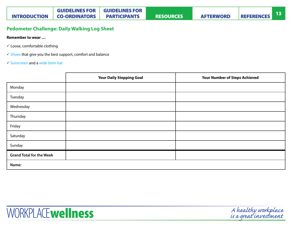### <span id="page-12-0"></span>**Pedometer Challenge: Daily Walking Log Sheet**

#### **Remember to wear …**

- $\checkmark$  Loose, comfortable clothing
- $\checkmark$  [Shoes](http://www.york.ca/Services/Public+Health+and+Safety/Healthy+Lifestyles/GoActive+Walking+Running+Clubs.html) that give you the best support, comfort and balance
- $\checkmark$  [Sunscreen](http://www.york.ca/Services/Public+Health+and+Safety/Healthy+Lifestyles/Sun+Safety+Sunscreen+Facts.html) and a [wide brim hat](http://www.york.ca/Services/Public+Health+and+Safety/Healthy+Lifestyles/Sun+Protection+with+Clothin+Hats.html)

|                                 | <b>Your Daily Stepping Goal</b> | <b>Your Number of Steps Achieved</b> |  |
|---------------------------------|---------------------------------|--------------------------------------|--|
| Monday                          |                                 |                                      |  |
| Tuesday                         |                                 |                                      |  |
| Wednesday                       |                                 |                                      |  |
| Thursday                        |                                 |                                      |  |
| Friday                          |                                 |                                      |  |
| Saturday                        |                                 |                                      |  |
| Sunday                          |                                 |                                      |  |
| <b>Grand Total for the Week</b> |                                 |                                      |  |
| Name:                           |                                 |                                      |  |

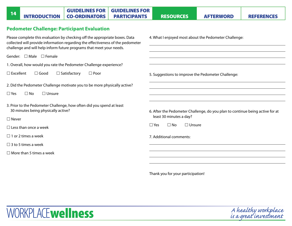<span id="page-13-0"></span>14 [INTRODUCTION](#page-2-0) [GUIDELINES FOR](#page-3-0)  [CO-ORDINATORS](#page-3-0) [GUIDELINES FOR](#page-4-0)  [PARTICIPANTS](#page-4-0) [RESOURCES](#page-5-0) [AFTERWORD](#page-14-0) [REFERENCES](#page-15-0) **Pedometer Challenge: Participant Evaluation** Please complete this evaluation by checking off the appropriate boxes. Data collected will provide information regarding the effectiveness of the pedometer challenge and will help inform future programs that meet your needs. Gender:  $\Box$  Male  $\Box$  Female 1. Overall, how would you rate the Pedometer Challenge experience?  $\square$  Excellent  $\square$  Good  $\square$  Satisfactory  $\square$  Poor 2. Did the Pedometer Challenge motivate you to be more physically active?  $\Box$ Yes  $\Box$  No  $\Box$  Unsure 3. Prior to the Pedometer Challenge, how often did you spend at least 30 minutes being physically active? Never  $\Box$  Less than once a week  $\Box$  1 or 2 times a week  $\Box$  3 to 5 times a week  $\Box$  More than 5 times a week 4. What I enjoyed most about the Pedometer Challenge: 5. Suggestions to improve the Pedometer Challenge: 6. After the Pedometer Challenge, do you plan to continue being active for at least 30 minutes a day?  $\Box$  Yes  $\Box$  No  $\Box$  Unsure 7. Additional comments:

Thank you for your participation!



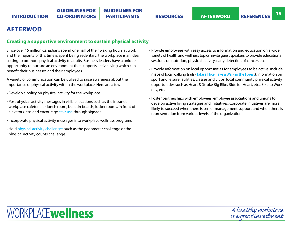### <span id="page-14-0"></span>**AFTERWOD**

### **Creating a supportive environment to sustain physical activity**

Since over 15 million Canadians spend one half of their waking hours at work and the majority of this time is spent being sedentary, the workplace is an ideal setting to promote physical activity to adults. Business leaders have a unique opportunity to nurture an environment that supports active living which can benefit their businesses and their employees.

A variety of communication can be utilized to raise awareness about the importance of physical activity within the workplace. Here are a few:

- Develop a policy on physical activity for the workplace
- Post physical activity messages in visible locations such as the intranet, workplace cafeteria or lunch room, bulletin boards, locker rooms, in front of elevators, etc. and encourage [stair use](http://www.phac-aspc.gc.ca/sth-evs/english/index-eng.php) through signage
- Incorporate physical activity messages into workplace wellness programs
- Hold [physical activity challenges](http://www.york.ca/Services/Public+Health+and+Safety/Workplace+Wellness/Health+Topic+-+Activity.htm) such as the pedometer challenge or the physical activity counts challenge
- Provide employees with easy access to information and education on a wide variety of health and wellness topics: invite guest speakers to provide educational sessions on nutrition, physical activity, early detection of cancer, etc.
- Provide information on local opportunities for employees to be active: include maps of local walking trails ([Take a Hike,](http://www.york.ca/Services/Environmental+Services/Forestry/Take+A+Hike.htm) [Take a Walk in the Forest](http://www.york.ca/Services/Environmental+Services/Forestry/Take+a+Walk+in+the+Forest.htm)), information on sport and leisure facilities, classes and clubs, local community physical activity opportunities such as Heart & Stroke Big Bike, Ride for Heart, etc., Bike to Work day, etc.
- Foster partnerships with employees, employee associations and unions to develop active living strategies and initiatives. Corporate initiatives are more likely to succeed when there is senior management support and when there is representation from various levels of the organization

# WORKPLACEwellness